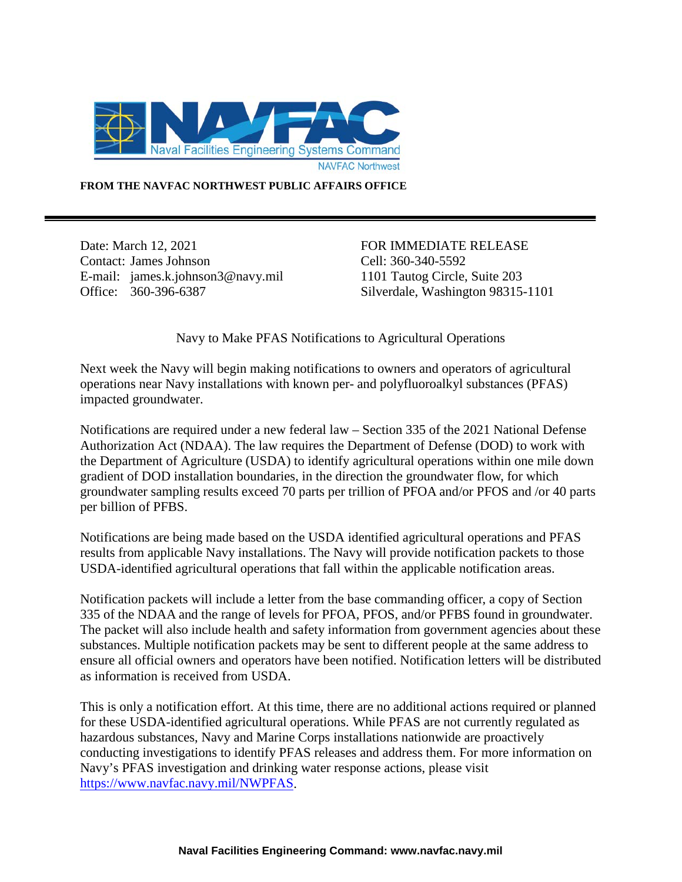

**FROM THE NAVFAC NORTHWEST PUBLIC AFFAIRS OFFICE**

Date: March 12, 2021 FOR IMMEDIATE RELEASE Contact: James Johnson E-mail: james.k.johnson3@navy.mil Office: 360-396-6387

Cell: 360-340-5592 1101 Tautog Circle, Suite 203 Silverdale, Washington 98315-1101

Navy to Make PFAS Notifications to Agricultural Operations

Next week the Navy will begin making notifications to owners and operators of agricultural operations near Navy installations with known per- and polyfluoroalkyl substances (PFAS) impacted groundwater.

Notifications are required under a new federal law – Section 335 of the 2021 National Defense Authorization Act (NDAA). The law requires the Department of Defense (DOD) to work with the Department of Agriculture (USDA) to identify agricultural operations within one mile down gradient of DOD installation boundaries, in the direction the groundwater flow, for which groundwater sampling results exceed 70 parts per trillion of PFOA and/or PFOS and /or 40 parts per billion of PFBS.

Notifications are being made based on the USDA identified agricultural operations and PFAS results from applicable Navy installations. The Navy will provide notification packets to those USDA-identified agricultural operations that fall within the applicable notification areas.

Notification packets will include a letter from the base commanding officer, a copy of Section 335 of the NDAA and the range of levels for PFOA, PFOS, and/or PFBS found in groundwater. The packet will also include health and safety information from government agencies about these substances. Multiple notification packets may be sent to different people at the same address to ensure all official owners and operators have been notified. Notification letters will be distributed as information is received from USDA.

This is only a notification effort. At this time, there are no additional actions required or planned for these USDA-identified agricultural operations. While PFAS are not currently regulated as hazardous substances, Navy and Marine Corps installations nationwide are proactively conducting investigations to identify PFAS releases and address them. For more information on Navy's PFAS investigation and drinking water response actions, please visit [https://www.navfac.navy.mil/NWPFAS.](https://www.navfac.navy.mil/NWPFAS)